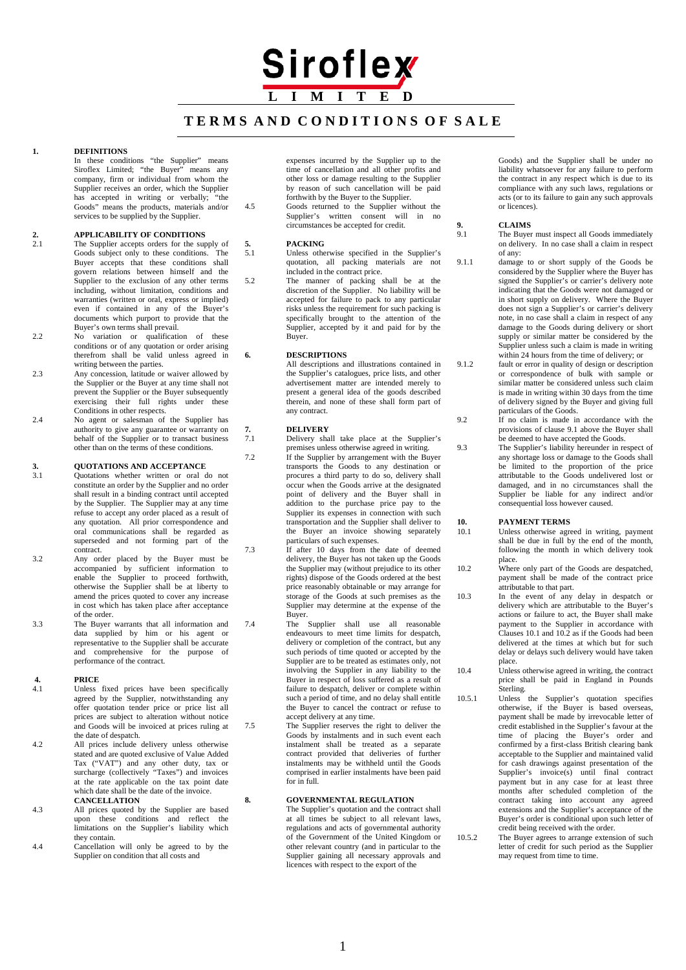# Siroflex **L I M I T E D**

### **T E R M S A N D C O N D I T I O N S O F S A L E**

#### **1. DEFINITIONS**

In these conditions "the Supplier" means Siroflex Limited; "the Buyer" means any company, firm or individual from whom the Supplier receives an order, which the Supplier<br>has accented in writing or verbally: "the has accepted in writing or verbally; Goods" means the products, materials and/or services to be supplied by the Supplier.

# **2. APPLICABILITY OF CONDITIONS**<br>2.1 The Supplier accepts orders for the sup

- 2.1 The Supplier accepts orders for the supply of Goods subject only to these conditions. The Buyer accepts that these conditions shall govern relations between himself and the Supplier to the exclusion of any other terms including, without limitation, conditions and warranties (written or oral, express or implied) even if contained in any of the Buyer's documents which purport to provide that the Buyer's own terms shall prevail.
- 2.2 No variation or qualification of these conditions or of any quotation or order arising therefrom shall be valid unless agreed in writing between the parties.
- 2.3 Any concession, latitude or waiver allowed by the Supplier or the Buyer at any time shall not prevent the Supplier or the Buyer subsequently exercising their full rights under these Conditions in other respects.
- 2.4 No agent or salesman of the Supplier has authority to give any guarantee or warranty on behalf of the Supplier or to transact business other than on the terms of these conditions.

# **3. QUOTATIONS AND ACCEPTANCE**<br>3.1 **Quotations** whether written or oral d

- 3.1 Quotations whether written or oral do not constitute an order by the Supplier and no order shall result in a binding contract until accepted by the Supplier. The Supplier may at any time refuse to accept any order placed as a result of any quotation. All prior correspondence and oral communications shall be regarded as superseded and not forming part of the contract.
- 3.2 Any order placed by the Buyer must be accompanied by sufficient information to enable the Supplier to proceed forthwith, otherwise the Supplier shall be at liberty to amend the prices quoted to cover any increase in cost which has taken place after acceptance of the order.

3.3 The Buyer warrants that all information and data supplied by him or his agent or representative to the Supplier shall be accurate and comprehensive for the purpose of performance of the contract.

# **4. PRICE**<br>4.1 **Unless**

- Unless fixed prices have been specifically agreed by the Supplier, notwithstanding any offer quotation tender price or price list all prices are subject to alteration without notice and Goods will be invoiced at prices ruling at the date of despatch.
- 4.2 All prices include delivery unless otherwise stated and are quoted exclusive of Value Added Tax ("VAT") and any other duty, tax or surcharge (collectively "Taxes") and invoices at the rate applicable on the tax point date which date shall be the date of the invoice. **CANCELLATION**
- 4.3 All prices quoted by the Supplier are based upon these conditions and reflect the limitations on the Supplier's liability which they contain.
- 4.4 Cancellation will only be agreed to by the Supplier on condition that all costs and

expenses incurred by the Supplier up to the time of cancellation and all other profits and other loss or damage resulting to the Supplier by reason of such cancellation will be paid forthwith by the Buyer to the Supplier.

4.5 Goods returned to the Supplier without the Supplier's written consent will in no circumstances be accepted for credit.

## 5. **PACKING**<br>5.1 **Inless** other

- Unless otherwise specified in the Supplier's quotation, all packing materials are not included in the contract price.
- 5.2 The manner of packing shall be at the discretion of the Supplier. No liability will be accepted for failure to pack to any particular risks unless the requirement for such packing is specifically brought to the attention of the Supplier, accepted by it and paid for by the Buyer.

#### **6. DESCRIPTIONS**

All descriptions and illustrations contained in the Supplier's catalogues, price lists, and other advertisement matter are intended merely to present a general idea of the goods described therein, and none of these shall form part of any contract.

## **7. DELIVERY**

Delivery shall take place at the Supplier's

- premises unless otherwise agreed in writing. 7.2 If the Supplier by arrangement with the Buyer transports the Goods to any destination or procures a third party to do so, delivery shall occur when the Goods arrive at the designated point of delivery and the Buyer shall in addition to the purchase price pay to the Supplier its expenses in connection with such transportation and the Supplier shall deliver to the Buyer an invoice showing separately particulars of such expenses.
- 7.3 If after 10 days from the date of deemed delivery, the Buyer has not taken up the Goods the Supplier may (without prejudice to its other rights) dispose of the Goods ordered at the best price reasonably obtainable or may arrange for storage of the Goods at such premises as the Supplier may determine at the expense of the Buyer.
- 7.4 The Supplier shall use all reasonable endeavours to meet time limits for despatch, delivery or completion of the contract, but any such periods of time quoted or accepted by the Supplier are to be treated as estimates only, not involving the Supplier in any liability to the Buyer in respect of loss suffered as a result of failure to despatch, deliver or complete within such a period of time, and no delay shall entitle the Buyer to cancel the contract or refuse to accept delivery at any time.
- 7.5 The Supplier reserves the right to deliver the Goods by instalments and in such event each instalment shall be treated as a separate contract provided that deliveries of further instalments may be withheld until the Goods comprised in earlier instalments have been paid for in full.

#### **8. GOVERNMENTAL REGULATION**

The Supplier's quotation and the contract shall at all times be subject to all relevant laws, regulations and acts of governmental authority of the Government of the United Kingdom or other relevant country (and in particular to the Supplier gaining all necessary approvals and licences with respect to the export of the

Goods) and the Supplier shall be under no liability whatsoever for any failure to perform the contract in any respect which is due to its compliance with any such laws, regulations or acts (or to its failure to gain any such approvals or licences).

## **9. CLAIMS**

The Buyer must inspect all Goods immediately on delivery. In no case shall a claim in respect of any:

- 9.1.1 damage to or short supply of the Goods be considered by the Supplier where the Buyer has signed the Supplier's or carrier's delivery note indicating that the Goods were not damaged or in short supply on delivery. Where the Buyer does not sign a Supplier's or carrier's delivery note, in no case shall a claim in respect of any damage to the Goods during delivery or short supply or similar matter be considered by the Supplier unless such a claim is made in writing within 24 hours from the time of delivery; or
- 9.1.2 fault or error in quality of design or description or correspondence of bulk with sample or similar matter be considered unless such claim is made in writing within 30 days from the time of delivery signed by the Buyer and giving full particulars of the Goods.
- 9.2 If no claim is made in accordance with the provisions of clause 9.1 above the Buyer shall be deemed to have accepted the Goods.
- 9.3 The Supplier's liability hereunder in respect of any shortage loss or damage to the Goods shall be limited to the proportion of the price attributable to the Goods undelivered lost or damaged, and in no circumstances shall the Supplier be liable for any indirect and/or consequential loss however caused.

## **10. PAYMENT TERMS**

- 10.1 Unless otherwise agreed in writing, payment shall be due in full by the end of the month, following the month in which delivery took place.
- 10.2 Where only part of the Goods are despatched, payment shall be made of the contract price attributable to that part.
- 10.3 In the event of any delay in despatch or delivery which are attributable to the Buyer's actions or failure to act, the Buyer shall make payment to the Supplier in accordance with Clauses 10.1 and 10.2 as if the Goods had been delivered at the times at which but for such delay or delays such delivery would have taken place.
- 10.4 Unless otherwise agreed in writing, the contract price shall be paid in England in Pounds Sterling.
- 10.5.1 Unless the Supplier's quotation specifies otherwise, if the Buyer is based overseas, payment shall be made by irrevocable letter of credit established in the Supplier's favour at the time of placing the Buyer's order and confirmed by a first-class British clearing bank acceptable to the Supplier and maintained valid for cash drawings against presentation of the Supplier's invoice(s) until final contract payment but in any case for at least three months after scheduled completion of the contract taking into account any agreed extensions and the Supplier's acceptance of the Buyer's order is conditional upon such letter of credit being received with the order.
- 10.5.2 The Buyer agrees to arrange extension of such letter of credit for such period as the Supplier may request from time to time.